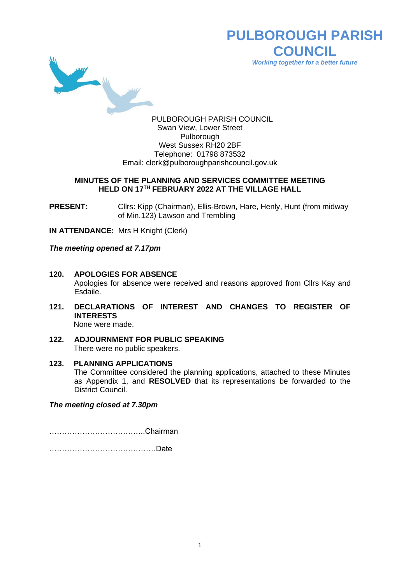

**PULBOROUGH PARISH COUNCIL** *Working together for a better future*

PULBOROUGH PARISH COUNCIL Swan View, Lower Street Pulborough West Sussex RH20 2BF Telephone: 01798 873532 Email: [clerk@pulboroughparishcouncil.gov.uk](mailto:clerk@pulboroughparishcouncil.gov.uk)

#### **MINUTES OF THE PLANNING AND SERVICES COMMITTEE MEETING HELD ON 17TH FEBRUARY 2022 AT THE VILLAGE HALL**

**PRESENT:** Clirs: Kipp (Chairman), Ellis-Brown, Hare, Henly, Hunt (from midway of Min.123) Lawson and Trembling

**IN ATTENDANCE:** Mrs H Knight (Clerk)

*The meeting opened at 7.17pm*

- **120. APOLOGIES FOR ABSENCE** Apologies for absence were received and reasons approved from Cllrs Kay and Esdaile.
- **121. DECLARATIONS OF INTEREST AND CHANGES TO REGISTER OF INTERESTS** None were made.
- **122. ADJOURNMENT FOR PUBLIC SPEAKING** There were no public speakers.
- **123. PLANNING APPLICATIONS** The Committee considered the planning applications, attached to these Minutes as Appendix 1, and **RESOLVED** that its representations be forwarded to the District Council.

*The meeting closed at 7.30pm*

………………………………..Chairman

……………………………………Date